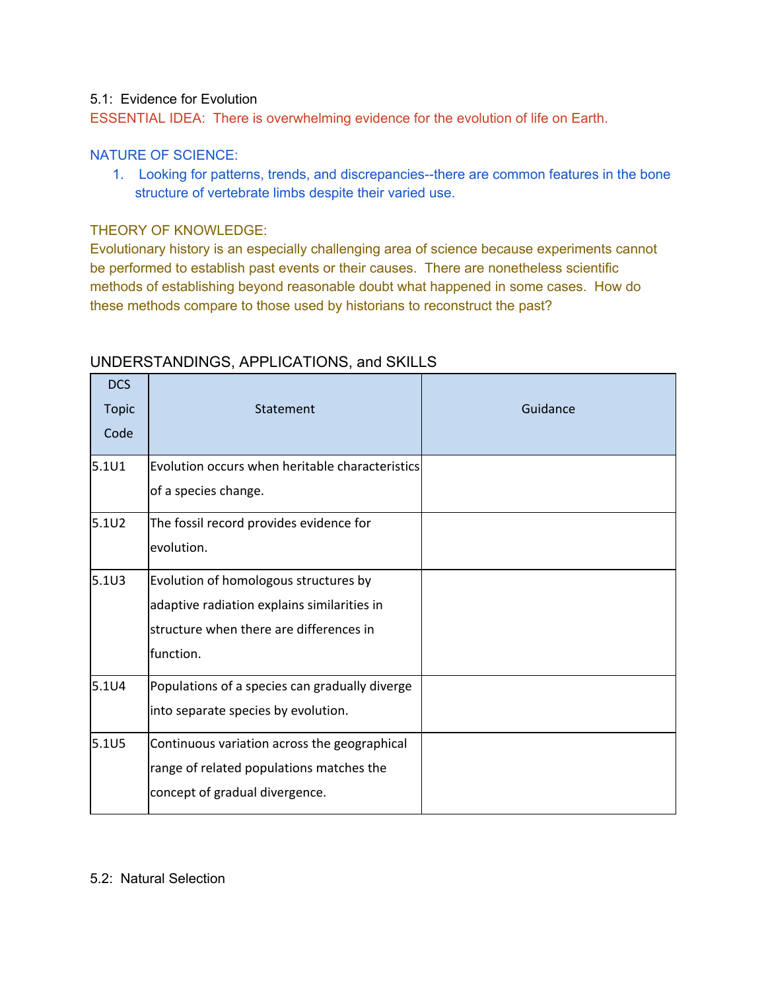#### 5.1: Evidence for Evolution

ESSENTIAL IDEA: There is overwhelming evidence for the evolution of life on Earth.

#### NATURE OF SCIENCE:

1. Looking for patterns, trends, and discrepancies--there are common features in the bone structure of vertebrate limbs despite their varied use.

### THEORY OF KNOWLEDGE:

Evolutionary history is an especially challenging area of science because experiments cannot be performed to establish past events or their causes. There are nonetheless scientific methods of establishing beyond reasonable doubt what happened in some cases. How do these methods compare to those used by historians to reconstruct the past?

| <b>DCS</b><br><b>Topic</b><br>Code | Statement                                       | Guidance |
|------------------------------------|-------------------------------------------------|----------|
| 5.1U1                              | Evolution occurs when heritable characteristics |          |
|                                    | of a species change.                            |          |
| $5.1U2$                            | The fossil record provides evidence for         |          |
|                                    | evolution.                                      |          |
| $5.1U3$                            | Evolution of homologous structures by           |          |
|                                    | adaptive radiation explains similarities in     |          |
|                                    | structure when there are differences in         |          |
|                                    | function.                                       |          |
| 5.1U4                              | Populations of a species can gradually diverge  |          |
|                                    | into separate species by evolution.             |          |
| 5.1U5                              | Continuous variation across the geographical    |          |
|                                    | range of related populations matches the        |          |
|                                    | concept of gradual divergence.                  |          |

# UNDERSTANDINGS, APPLICATIONS, and SKILLS

#### 5.2: Natural Selection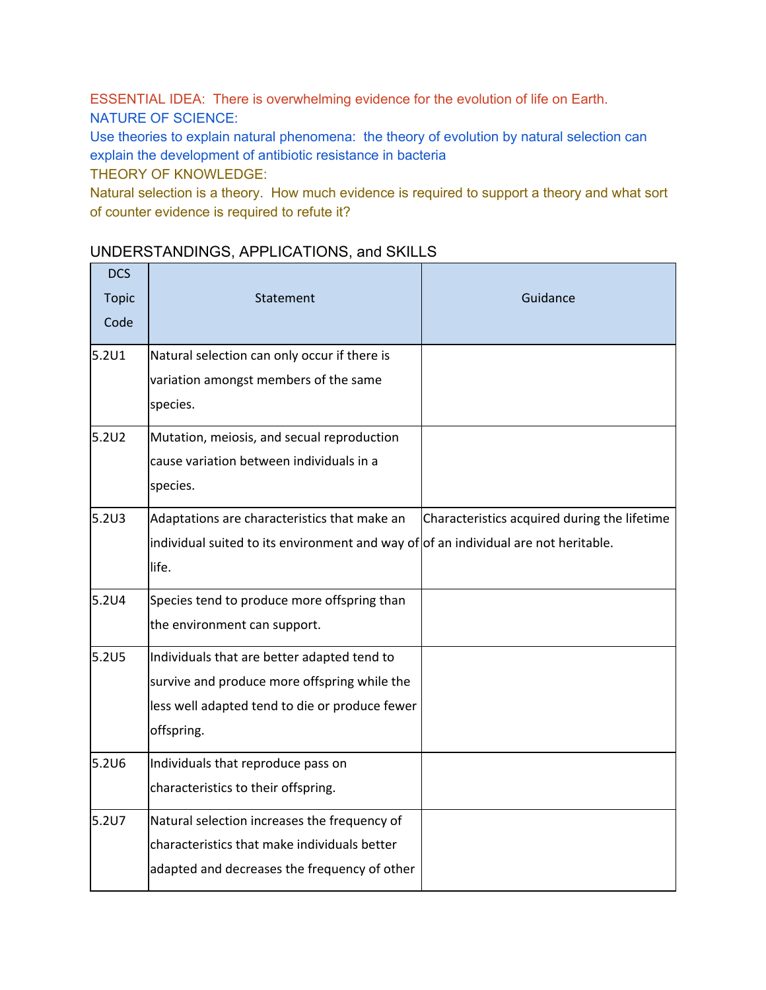ESSENTIAL IDEA: There is overwhelming evidence for the evolution of life on Earth. NATURE OF SCIENCE:

Use theories to explain natural phenomena: the theory of evolution by natural selection can explain the development of antibiotic resistance in bacteria THEORY OF KNOWLEDGE:

Natural selection is a theory. How much evidence is required to support a theory and what sort of counter evidence is required to refute it?

# UNDERSTANDINGS, APPLICATIONS, and SKILLS

| <b>DCS</b><br><b>Topic</b><br>Code | Statement                                                                           | Guidance                                     |
|------------------------------------|-------------------------------------------------------------------------------------|----------------------------------------------|
| 5.2U1                              | Natural selection can only occur if there is                                        |                                              |
|                                    | variation amongst members of the same                                               |                                              |
|                                    | species.                                                                            |                                              |
| 5.2U2                              | Mutation, meiosis, and secual reproduction                                          |                                              |
|                                    | cause variation between individuals in a                                            |                                              |
|                                    | species.                                                                            |                                              |
| 5.2U3                              | Adaptations are characteristics that make an                                        | Characteristics acquired during the lifetime |
|                                    | individual suited to its environment and way of of an individual are not heritable. |                                              |
|                                    | life.                                                                               |                                              |
| 5.2U4                              | Species tend to produce more offspring than                                         |                                              |
|                                    | the environment can support.                                                        |                                              |
| 5.2U5                              | Individuals that are better adapted tend to                                         |                                              |
|                                    | survive and produce more offspring while the                                        |                                              |
|                                    | less well adapted tend to die or produce fewer                                      |                                              |
|                                    | offspring.                                                                          |                                              |
| 5.2U6                              | Individuals that reproduce pass on                                                  |                                              |
|                                    | characteristics to their offspring.                                                 |                                              |
| 5.2U7                              | Natural selection increases the frequency of                                        |                                              |
|                                    | characteristics that make individuals better                                        |                                              |
|                                    | adapted and decreases the frequency of other                                        |                                              |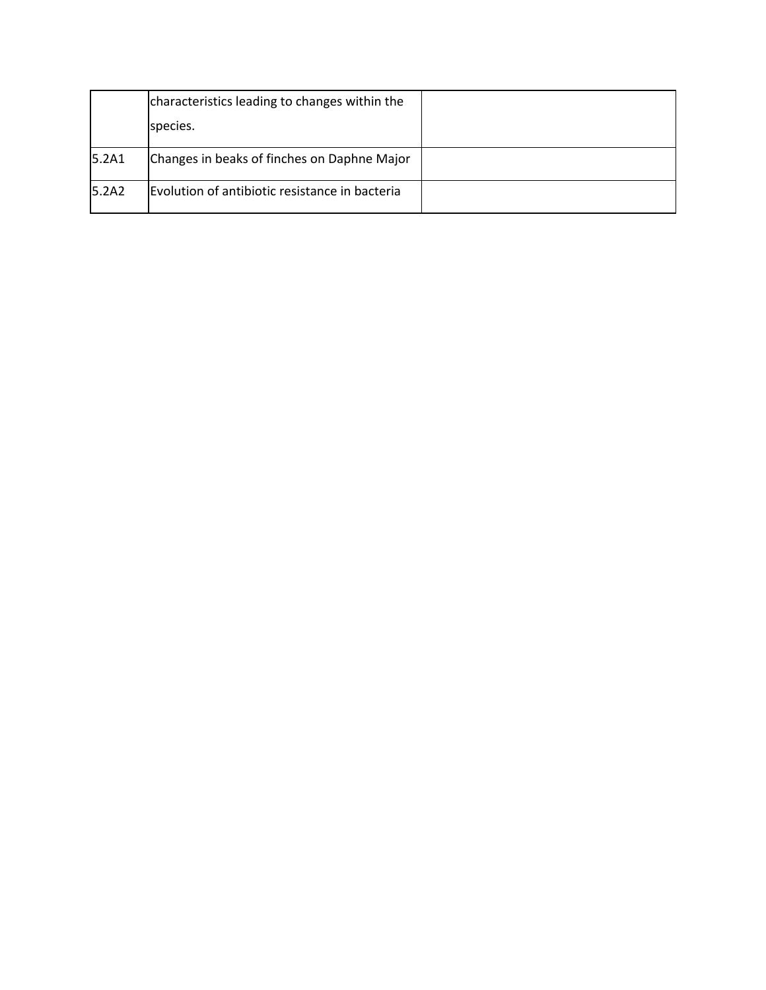|       | characteristics leading to changes within the  |  |
|-------|------------------------------------------------|--|
|       | species.                                       |  |
| 5.2A1 | Changes in beaks of finches on Daphne Major    |  |
| 5.2A2 | Evolution of antibiotic resistance in bacteria |  |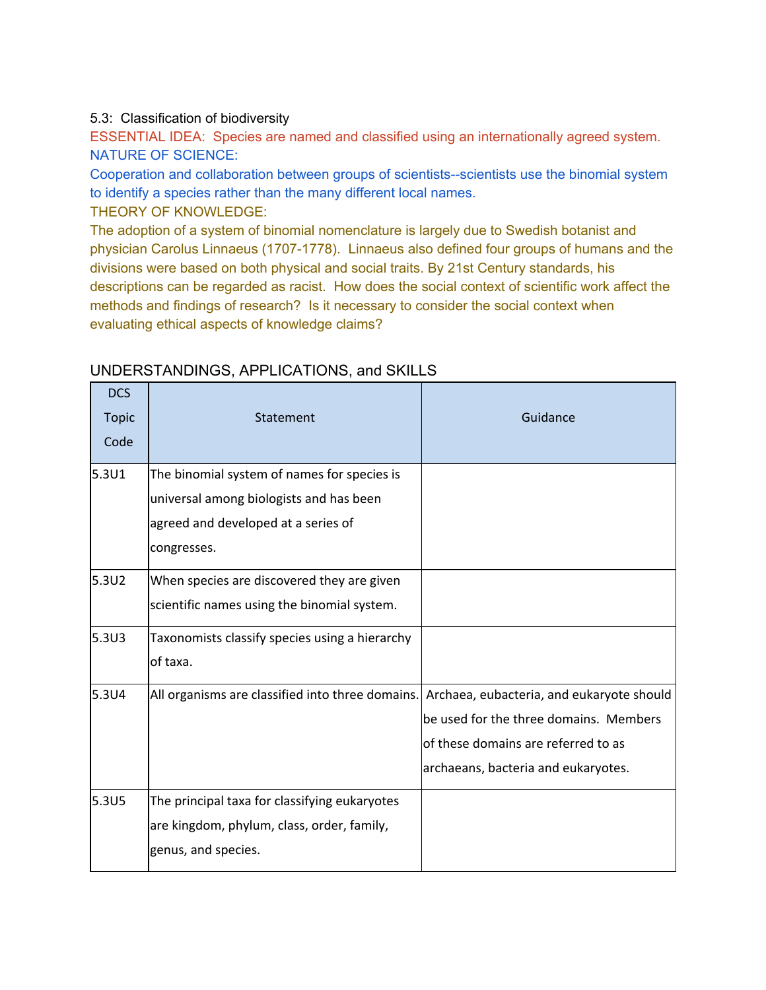### 5.3: Classification of biodiversity

ESSENTIAL IDEA: Species are named and classified using an internationally agreed system. NATURE OF SCIENCE:

Cooperation and collaboration between groups of scientists--scientists use the binomial system to identify a species rather than the many different local names.

THEORY OF KNOWLEDGE:

The adoption of a system of binomial nomenclature is largely due to Swedish botanist and physician Carolus Linnaeus (1707-1778). Linnaeus also defined four groups of humans and the divisions were based on both physical and social traits. By 21st Century standards, his descriptions can be regarded as racist. How does the social context of scientific work affect the methods and findings of research? Is it necessary to consider the social context when evaluating ethical aspects of knowledge claims?

| <b>DCS</b><br><b>Topic</b><br>Code | Statement                                                                                                                                    | Guidance                                                                                                                                                          |
|------------------------------------|----------------------------------------------------------------------------------------------------------------------------------------------|-------------------------------------------------------------------------------------------------------------------------------------------------------------------|
| 5.3U1                              | The binomial system of names for species is<br>universal among biologists and has been<br>agreed and developed at a series of<br>congresses. |                                                                                                                                                                   |
| 5.3U2                              | When species are discovered they are given<br>scientific names using the binomial system.                                                    |                                                                                                                                                                   |
| 5.3U3                              | Taxonomists classify species using a hierarchy<br>of taxa.                                                                                   |                                                                                                                                                                   |
| 5.3U4                              | All organisms are classified into three domains.                                                                                             | Archaea, eubacteria, and eukaryote should<br>be used for the three domains. Members<br>of these domains are referred to as<br>archaeans, bacteria and eukaryotes. |
| 5.3U5                              | The principal taxa for classifying eukaryotes<br>are kingdom, phylum, class, order, family,<br>genus, and species.                           |                                                                                                                                                                   |

# UNDERSTANDINGS, APPLICATIONS, and SKILLS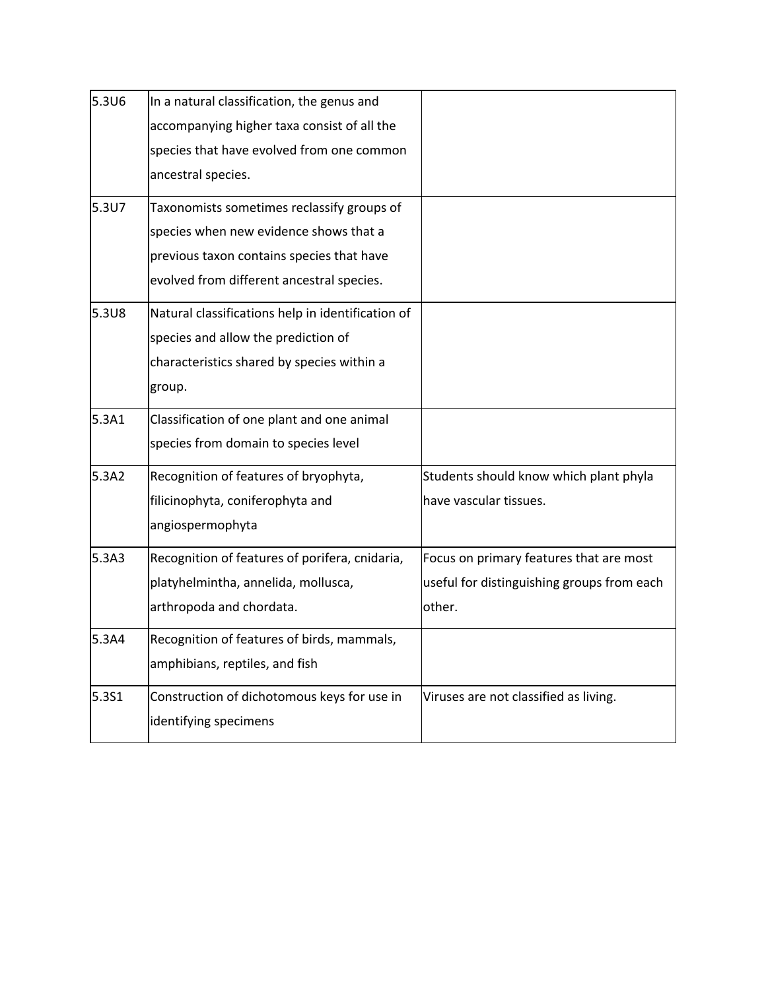| 5.3U6 | In a natural classification, the genus and        |                                            |
|-------|---------------------------------------------------|--------------------------------------------|
|       | accompanying higher taxa consist of all the       |                                            |
|       | species that have evolved from one common         |                                            |
|       | ancestral species.                                |                                            |
| 5.3U7 | Taxonomists sometimes reclassify groups of        |                                            |
|       | species when new evidence shows that a            |                                            |
|       | previous taxon contains species that have         |                                            |
|       | evolved from different ancestral species.         |                                            |
| 5.3U8 | Natural classifications help in identification of |                                            |
|       | species and allow the prediction of               |                                            |
|       | characteristics shared by species within a        |                                            |
|       | group.                                            |                                            |
| 5.3A1 | Classification of one plant and one animal        |                                            |
|       | species from domain to species level              |                                            |
| 5.3A2 | Recognition of features of bryophyta,             | Students should know which plant phyla     |
|       | filicinophyta, coniferophyta and                  | have vascular tissues.                     |
|       | angiospermophyta                                  |                                            |
| 5.3A3 | Recognition of features of porifera, cnidaria,    | Focus on primary features that are most    |
|       | platyhelmintha, annelida, mollusca,               | useful for distinguishing groups from each |
|       | arthropoda and chordata.                          | other.                                     |
| 5.3A4 | Recognition of features of birds, mammals,        |                                            |
|       | amphibians, reptiles, and fish                    |                                            |
| 5.3S1 | Construction of dichotomous keys for use in       | Viruses are not classified as living.      |
|       | identifying specimens                             |                                            |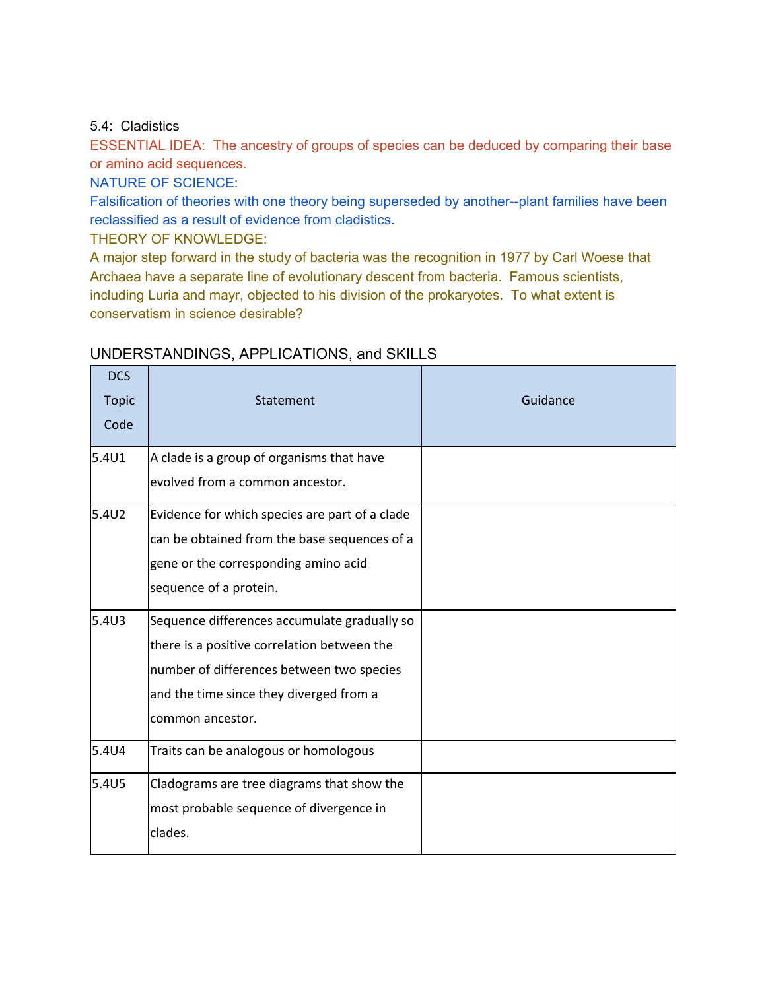### 5.4: Cladistics

ESSENTIAL IDEA: The ancestry of groups of species can be deduced by comparing their base or amino acid sequences.

NATURE OF SCIENCE:

Falsification of theories with one theory being superseded by another--plant families have been reclassified as a result of evidence from cladistics.

THEORY OF KNOWLEDGE:

A major step forward in the study of bacteria was the recognition in 1977 by Carl Woese that Archaea have a separate line of evolutionary descent from bacteria. Famous scientists, including Luria and mayr, objected to his division of the prokaryotes. To what extent is conservatism in science desirable?

| <b>DCS</b><br><b>Topic</b><br>Code | Statement                                                                                                                                                                                               | Guidance |
|------------------------------------|---------------------------------------------------------------------------------------------------------------------------------------------------------------------------------------------------------|----------|
| 5.4U1                              | A clade is a group of organisms that have<br>evolved from a common ancestor.                                                                                                                            |          |
| 5.4U2                              | Evidence for which species are part of a clade<br>can be obtained from the base sequences of a<br>gene or the corresponding amino acid<br>sequence of a protein.                                        |          |
| 5.4 <sub>03</sub>                  | Sequence differences accumulate gradually so<br>there is a positive correlation between the<br>number of differences between two species<br>and the time since they diverged from a<br>common ancestor. |          |
| 5.4U4                              | Traits can be analogous or homologous                                                                                                                                                                   |          |
| 5.4U <sub>5</sub>                  | Cladograms are tree diagrams that show the<br>most probable sequence of divergence in<br>clades.                                                                                                        |          |

# UNDERSTANDINGS, APPLICATIONS, and SKILLS